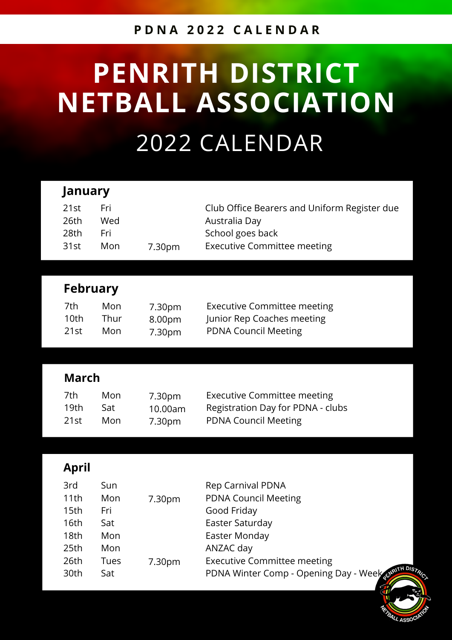#### **P D N A 2 0 2 2 C A L E N D A R**

# **PENRITH DISTRICT NETBALL ASSOCIATION** 2022 CALENDAR

| <b>January</b>                                                      |                                        |                             |                                                                                                                         |  |
|---------------------------------------------------------------------|----------------------------------------|-----------------------------|-------------------------------------------------------------------------------------------------------------------------|--|
| 21st<br>26th<br>28th<br>31st                                        | Fri<br>Wed<br>Fri<br>Mon               | 7.30pm                      | Club Office Bearers and Uniform Register due<br>Australia Day<br>School goes back<br><b>Executive Committee meeting</b> |  |
|                                                                     |                                        |                             |                                                                                                                         |  |
| <b>February</b>                                                     |                                        |                             |                                                                                                                         |  |
| 7th<br>10 <sub>th</sub><br>21st                                     | Mon<br>Thur<br>Mon                     | 7.30pm<br>8.00pm<br>7.30pm  | <b>Executive Committee meeting</b><br>Junior Rep Coaches meeting<br><b>PDNA Council Meeting</b>                         |  |
|                                                                     |                                        |                             |                                                                                                                         |  |
| <b>March</b>                                                        |                                        |                             |                                                                                                                         |  |
| 7th<br>19 <sub>th</sub><br>21st                                     | Mon<br>Sat<br>Mon                      | 7.30pm<br>10.00am<br>7.30pm | <b>Executive Committee meeting</b><br>Registration Day for PDNA - clubs<br><b>PDNA Council Meeting</b>                  |  |
|                                                                     |                                        |                             |                                                                                                                         |  |
| <b>April</b>                                                        |                                        |                             |                                                                                                                         |  |
| 3rd<br>11th<br>15 <sub>th</sub><br>16th<br>18 <sub>th</sub><br>25th | Sun<br>Mon<br>Fri<br>Sat<br>Mon<br>Mon | 7.30pm                      | <b>Rep Carnival PDNA</b><br><b>PDNA Council Meeting</b><br>Good Friday<br>Easter Saturday<br>Easter Monday<br>ANZAC day |  |

ALL ASSOC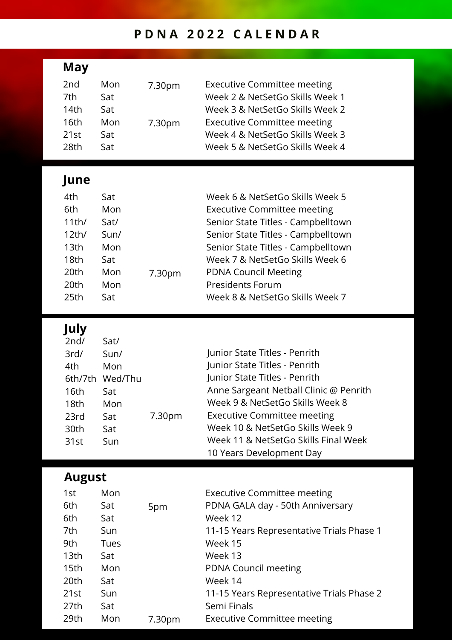### **P D N A 2 0 2 2 C A L E N D A R**

| May                                                                                  |                                                                           |                              |                                                                                                                                                                                                                                                                                                                            |
|--------------------------------------------------------------------------------------|---------------------------------------------------------------------------|------------------------------|----------------------------------------------------------------------------------------------------------------------------------------------------------------------------------------------------------------------------------------------------------------------------------------------------------------------------|
| 2 <sub>nd</sub><br>7th<br>14th<br>16th<br>21st<br>28th                               | Mon<br>Sat<br>Sat<br>Mon<br>Sat<br>Sat                                    | 7.30pm<br>7.30 <sub>pm</sub> | <b>Executive Committee meeting</b><br>Week 2 & NetSetGo Skills Week 1<br>Week 3 & NetSetGo Skills Week 2<br><b>Executive Committee meeting</b><br>Week 4 & NetSetGo Skills Week 3<br>Week 5 & NetSetGo Skills Week 4                                                                                                       |
| June<br>4th<br>6th<br>11th/<br>12th/<br>13 <sub>th</sub><br>18 <sub>th</sub><br>20th | Sat<br>Mon<br>Sat/<br>Sun/<br>Mon<br>Sat<br>Mon                           | 7.30pm                       | Week 6 & NetSetGo Skills Week 5<br><b>Executive Committee meeting</b><br>Senior State Titles - Campbelltown<br>Senior State Titles - Campbelltown<br>Senior State Titles - Campbelltown<br>Week 7 & NetSetGo Skills Week 6<br><b>PDNA Council Meeting</b>                                                                  |
| 20th<br>25th                                                                         | Mon<br>Sat                                                                |                              | <b>Presidents Forum</b><br>Week 8 & NetSetGo Skills Week 7                                                                                                                                                                                                                                                                 |
| July<br>2nd/<br>3rd/<br>4th<br>16th<br>18 <sub>th</sub><br>23rd<br>30th<br>31st      | Sat/<br>Sun/<br>Mon<br>6th/7th Wed/Thu<br>Sat<br>Mon<br>Sat<br>Sat<br>Sun | 7.30pm                       | Junior State Titles - Penrith<br>Junior State Titles - Penrith<br>Junior State Titles - Penrith<br>Anne Sargeant Netball Clinic @ Penrith<br>Week 9 & NetSetGo Skills Week 8<br><b>Executive Committee meeting</b><br>Week 10 & NetSetGo Skills Week 9<br>Week 11 & NetSetGo Skills Final Week<br>10 Years Development Day |
| <b>August</b><br>1st<br>6th                                                          | Mon<br>Sat                                                                | 5pm                          | <b>Executive Committee meeting</b><br>PDNA GALA day - 50th Anniversary                                                                                                                                                                                                                                                     |
| 6th<br>7 <sub>th</sub>                                                               | Sat<br>$C_{11}$                                                           |                              | Week 12<br>11 15 Voars Depresentative Trials Phase                                                                                                                                                                                                                                                                         |

| 6th              | Sat  |        | Week 12                                   |
|------------------|------|--------|-------------------------------------------|
| 7th              | Sun  |        | 11-15 Years Representative Trials Phase 1 |
| 9th              | Tues |        | Week 15                                   |
| 13 <sub>th</sub> | Sat  |        | Week 13                                   |
| 15th             | Mon  |        | <b>PDNA Council meeting</b>               |
| 20th             | Sat  |        | Week 14                                   |
| 21st             | Sun  |        | 11-15 Years Representative Trials Phase 2 |
| 27th             | Sat  |        | Semi Finals                               |
| 29th             | Mon  | 7.30pm | <b>Executive Committee meeting</b>        |